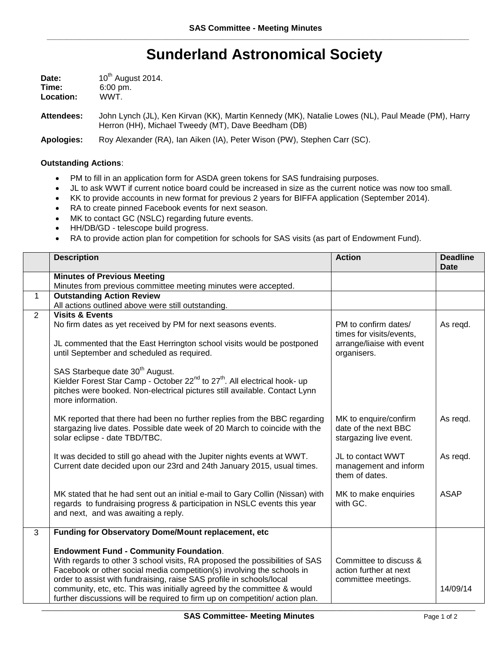## **Sunderland Astronomical Society**

| Date:     | 10 <sup>th</sup> August 2014. |  |  |
|-----------|-------------------------------|--|--|
| Time:     | $6:00 \text{ pm}$ .           |  |  |
| Location: | WWT.                          |  |  |

**Attendees:** John Lynch (JL), Ken Kirvan (KK), Martin Kennedy (MK), Natalie Lowes (NL), Paul Meade (PM), Harry Herron (HH), Michael Tweedy (MT), Dave Beedham (DB)

**Apologies:** Roy Alexander (RA), Ian Aiken (IA), Peter Wison (PW), Stephen Carr (SC).

## **Outstanding Actions**:

- PM to fill in an application form for ASDA green tokens for SAS fundraising purposes.
- JL to ask WWT if current notice board could be increased in size as the current notice was now too small.
- KK to provide accounts in new format for previous 2 years for BIFFA application (September 2014).
- RA to create pinned Facebook events for next season.
- MK to contact GC (NSLC) regarding future events.
- HH/DB/GD telescope build progress.
- RA to provide action plan for competition for schools for SAS visits (as part of Endowment Fund).

|              | <b>Description</b>                                                                                | <b>Action</b>             | <b>Deadline</b><br><b>Date</b> |
|--------------|---------------------------------------------------------------------------------------------------|---------------------------|--------------------------------|
|              | <b>Minutes of Previous Meeting</b>                                                                |                           |                                |
|              | Minutes from previous committee meeting minutes were accepted.                                    |                           |                                |
| $\mathbf{1}$ | <b>Outstanding Action Review</b>                                                                  |                           |                                |
|              | All actions outlined above were still outstanding.                                                |                           |                                |
| 2            | <b>Visits &amp; Events</b>                                                                        |                           |                                |
|              | No firm dates as yet received by PM for next seasons events.                                      | PM to confirm dates/      | As regd.                       |
|              |                                                                                                   | times for visits/events,  |                                |
|              | JL commented that the East Herrington school visits would be postponed                            | arrange/liaise with event |                                |
|              | until September and scheduled as required.                                                        | organisers.               |                                |
|              |                                                                                                   |                           |                                |
|              | SAS Starbeque date 30 <sup>th</sup> August.                                                       |                           |                                |
|              | Kielder Forest Star Camp - October 22 <sup>nd</sup> to 27 <sup>th</sup> . All electrical hook- up |                           |                                |
|              | pitches were booked. Non-electrical pictures still available. Contact Lynn<br>more information.   |                           |                                |
|              |                                                                                                   |                           |                                |
|              | MK reported that there had been no further replies from the BBC regarding                         | MK to enquire/confirm     | As regd.                       |
|              | stargazing live dates. Possible date week of 20 March to coincide with the                        | date of the next BBC      |                                |
|              | solar eclipse - date TBD/TBC.                                                                     | stargazing live event.    |                                |
|              |                                                                                                   |                           |                                |
|              | It was decided to still go ahead with the Jupiter nights events at WWT.                           | JL to contact WWT         | As regd.                       |
|              | Current date decided upon our 23rd and 24th January 2015, usual times.                            | management and inform     |                                |
|              |                                                                                                   | them of dates.            |                                |
|              |                                                                                                   |                           |                                |
|              | MK stated that he had sent out an initial e-mail to Gary Collin (Nissan) with                     | MK to make enquiries      | <b>ASAP</b>                    |
|              | regards to fundraising progress & participation in NSLC events this year                          | with GC.                  |                                |
|              | and next, and was awaiting a reply.                                                               |                           |                                |
|              |                                                                                                   |                           |                                |
| 3            | Funding for Observatory Dome/Mount replacement, etc                                               |                           |                                |
|              | <b>Endowment Fund - Community Foundation.</b>                                                     |                           |                                |
|              | With regards to other 3 school visits, RA proposed the possibilities of SAS                       | Committee to discuss &    |                                |
|              | Facebook or other social media competition(s) involving the schools in                            | action further at next    |                                |
|              | order to assist with fundraising, raise SAS profile in schools/local                              | committee meetings.       |                                |
|              | community, etc, etc. This was initially agreed by the committee & would                           |                           | 14/09/14                       |
|              | further discussions will be required to firm up on competition/action plan.                       |                           |                                |
|              |                                                                                                   |                           |                                |